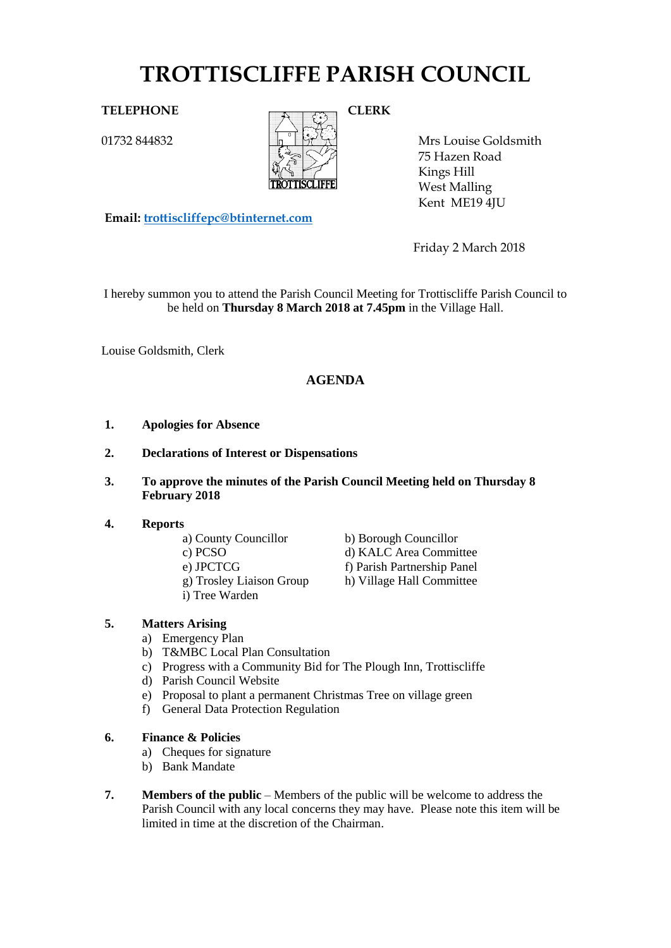# **TROTTISCLIFFE PARISH COUNCIL**

01732 844832



Mrs Louise Goldsmith 75 Hazen Road Kings Hill West Malling Kent ME19 4JU

**Email: [trottiscliffepc@btinternet.com](mailto:trottiscliffepc@btinternet.com)**

Friday 2 March 2018

I hereby summon you to attend the Parish Council Meeting for Trottiscliffe Parish Council to be held on **Thursday 8 March 2018 at 7.45pm** in the Village Hall.

Louise Goldsmith, Clerk

# **AGENDA**

- **1. Apologies for Absence**
- **2. Declarations of Interest or Dispensations**
- **3. To approve the minutes of the Parish Council Meeting held on Thursday 8 February 2018**

# **4. Reports**

- 
- 
- 
- g) Trosley Liaison Group h) Village Hall Committee
- i) Tree Warden
- a) County Councillor b) Borough Councillor c) PCSO d) KALC Area Committee e) JPCTCG f) Parish Partnership Panel
	-

# **5. Matters Arising**

- a) Emergency Plan
- b) T&MBC Local Plan Consultation
- c) Progress with a Community Bid for The Plough Inn, Trottiscliffe
- d) Parish Council Website
- e) Proposal to plant a permanent Christmas Tree on village green
- f) General Data Protection Regulation

# **6. Finance & Policies**

- a) Cheques for signature
- b) Bank Mandate
- **7. Members of the public** Members of the public will be welcome to address the Parish Council with any local concerns they may have. Please note this item will be limited in time at the discretion of the Chairman.